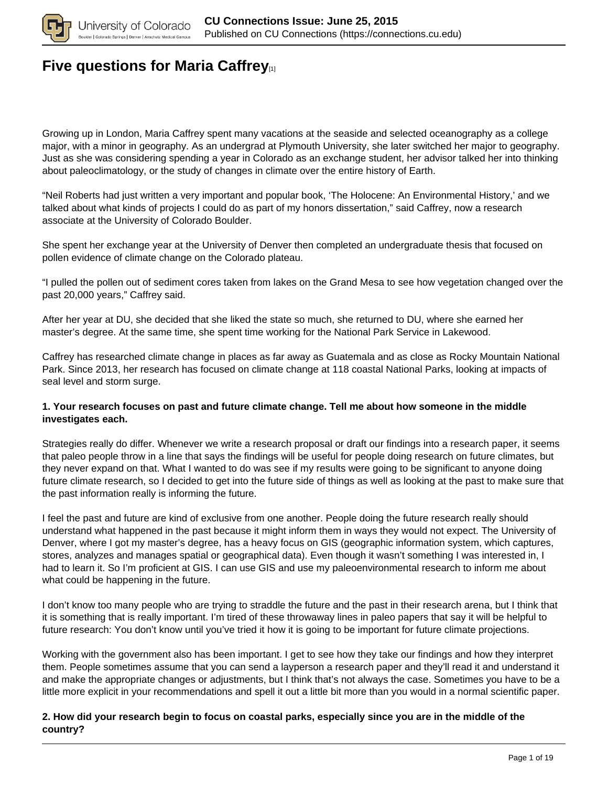

### **[Five questions for Maria Caffrey](https://connections.cu.edu/spotlights/five-questions-maria-caffrey)**

Growing up in London, Maria Caffrey spent many vacations at the seaside and selected oceanography as a college major, with a minor in geography. As an undergrad at Plymouth University, she later switched her major to geography. Just as she was considering spending a year in Colorado as an exchange student, her advisor talked her into thinking about paleoclimatology, or the study of changes in climate over the entire history of Earth.

"Neil Roberts had just written a very important and popular book, 'The Holocene: An Environmental History,' and we talked about what kinds of projects I could do as part of my honors dissertation," said Caffrey, now a research associate at the University of Colorado Boulder.

She spent her exchange year at the University of Denver then completed an undergraduate thesis that focused on pollen evidence of climate change on the Colorado plateau.

"I pulled the pollen out of sediment cores taken from lakes on the Grand Mesa to see how vegetation changed over the past 20,000 years," Caffrey said.

After her year at DU, she decided that she liked the state so much, she returned to DU, where she earned her master's degree. At the same time, she spent time working for the National Park Service in Lakewood.

Caffrey has researched climate change in places as far away as Guatemala and as close as Rocky Mountain National Park. Since 2013, her research has focused on climate change at 118 coastal National Parks, looking at impacts of seal level and storm surge.

#### **1. Your research focuses on past and future climate change. Tell me about how someone in the middle investigates each.**

Strategies really do differ. Whenever we write a research proposal or draft our findings into a research paper, it seems that paleo people throw in a line that says the findings will be useful for people doing research on future climates, but they never expand on that. What I wanted to do was see if my results were going to be significant to anyone doing future climate research, so I decided to get into the future side of things as well as looking at the past to make sure that the past information really is informing the future.

I feel the past and future are kind of exclusive from one another. People doing the future research really should understand what happened in the past because it might inform them in ways they would not expect. The University of Denver, where I got my master's degree, has a heavy focus on GIS (geographic information system, which captures, stores, analyzes and manages spatial or geographical data). Even though it wasn't something I was interested in, I had to learn it. So I'm proficient at GIS. I can use GIS and use my paleoenvironmental research to inform me about what could be happening in the future.

I don't know too many people who are trying to straddle the future and the past in their research arena, but I think that it is something that is really important. I'm tired of these throwaway lines in paleo papers that say it will be helpful to future research: You don't know until you've tried it how it is going to be important for future climate projections.

Working with the government also has been important. I get to see how they take our findings and how they interpret them. People sometimes assume that you can send a layperson a research paper and they'll read it and understand it and make the appropriate changes or adjustments, but I think that's not always the case. Sometimes you have to be a little more explicit in your recommendations and spell it out a little bit more than you would in a normal scientific paper.

#### **2. How did your research begin to focus on coastal parks, especially since you are in the middle of the country?**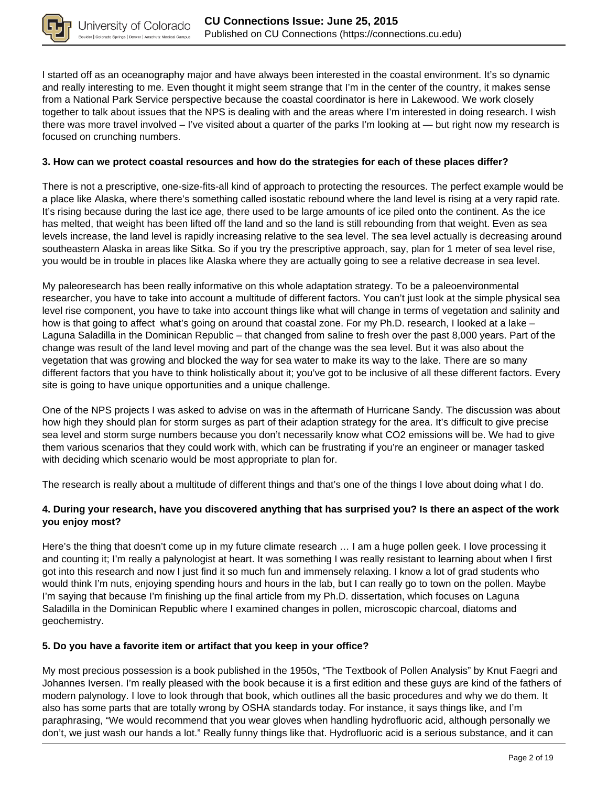

I started off as an oceanography major and have always been interested in the coastal environment. It's so dynamic and really interesting to me. Even thought it might seem strange that I'm in the center of the country, it makes sense from a National Park Service perspective because the coastal coordinator is here in Lakewood. We work closely together to talk about issues that the NPS is dealing with and the areas where I'm interested in doing research. I wish there was more travel involved – I've visited about a quarter of the parks I'm looking at — but right now my research is focused on crunching numbers.

#### **3. How can we protect coastal resources and how do the strategies for each of these places differ?**

There is not a prescriptive, one-size-fits-all kind of approach to protecting the resources. The perfect example would be a place like Alaska, where there's something called isostatic rebound where the land level is rising at a very rapid rate. It's rising because during the last ice age, there used to be large amounts of ice piled onto the continent. As the ice has melted, that weight has been lifted off the land and so the land is still rebounding from that weight. Even as sea levels increase, the land level is rapidly increasing relative to the sea level. The sea level actually is decreasing around southeastern Alaska in areas like Sitka. So if you try the prescriptive approach, say, plan for 1 meter of sea level rise, you would be in trouble in places like Alaska where they are actually going to see a relative decrease in sea level.

My paleoresearch has been really informative on this whole adaptation strategy. To be a paleoenvironmental researcher, you have to take into account a multitude of different factors. You can't just look at the simple physical sea level rise component, you have to take into account things like what will change in terms of vegetation and salinity and how is that going to affect what's going on around that coastal zone. For my Ph.D. research, I looked at a lake – Laguna Saladilla in the Dominican Republic – that changed from saline to fresh over the past 8,000 years. Part of the change was result of the land level moving and part of the change was the sea level. But it was also about the vegetation that was growing and blocked the way for sea water to make its way to the lake. There are so many different factors that you have to think holistically about it; you've got to be inclusive of all these different factors. Every site is going to have unique opportunities and a unique challenge.

One of the NPS projects I was asked to advise on was in the aftermath of Hurricane Sandy. The discussion was about how high they should plan for storm surges as part of their adaption strategy for the area. It's difficult to give precise sea level and storm surge numbers because you don't necessarily know what CO2 emissions will be. We had to give them various scenarios that they could work with, which can be frustrating if you're an engineer or manager tasked with deciding which scenario would be most appropriate to plan for.

The research is really about a multitude of different things and that's one of the things I love about doing what I do.

#### **4. During your research, have you discovered anything that has surprised you? Is there an aspect of the work you enjoy most?**

Here's the thing that doesn't come up in my future climate research … I am a huge pollen geek. I love processing it and counting it; I'm really a palynologist at heart. It was something I was really resistant to learning about when I first got into this research and now I just find it so much fun and immensely relaxing. I know a lot of grad students who would think I'm nuts, enjoying spending hours and hours in the lab, but I can really go to town on the pollen. Maybe I'm saying that because I'm finishing up the final article from my Ph.D. dissertation, which focuses on Laguna Saladilla in the Dominican Republic where I examined changes in pollen, microscopic charcoal, diatoms and geochemistry.

#### **5. Do you have a favorite item or artifact that you keep in your office?**

My most precious possession is a book published in the 1950s, "The Textbook of Pollen Analysis" by Knut Faegri and Johannes Iversen. I'm really pleased with the book because it is a first edition and these guys are kind of the fathers of modern palynology. I love to look through that book, which outlines all the basic procedures and why we do them. It also has some parts that are totally wrong by OSHA standards today. For instance, it says things like, and I'm paraphrasing, "We would recommend that you wear gloves when handling hydrofluoric acid, although personally we don't, we just wash our hands a lot." Really funny things like that. Hydrofluoric acid is a serious substance, and it can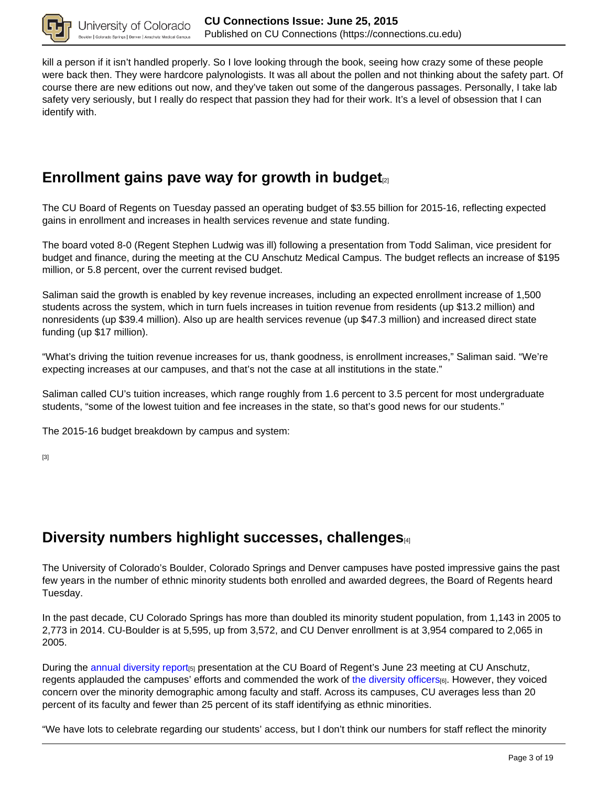

kill a person if it isn't handled properly. So I love looking through the book, seeing how crazy some of these people were back then. They were hardcore palynologists. It was all about the pollen and not thinking about the safety part. Of course there are new editions out now, and they've taken out some of the dangerous passages. Personally, I take lab safety very seriously, but I really do respect that passion they had for their work. It's a level of obsession that I can identify with.

### Enrollment gains pave way for growth in budget<sub>[2]</sub>

The CU Board of Regents on Tuesday passed an operating budget of \$3.55 billion for 2015-16, reflecting expected gains in enrollment and increases in health services revenue and state funding.

The board voted 8-0 (Regent Stephen Ludwig was ill) following a presentation from Todd Saliman, vice president for budget and finance, during the meeting at the CU Anschutz Medical Campus. The budget reflects an increase of \$195 million, or 5.8 percent, over the current revised budget.

Saliman said the growth is enabled by key revenue increases, including an expected enrollment increase of 1,500 students across the system, which in turn fuels increases in tuition revenue from residents (up \$13.2 million) and nonresidents (up \$39.4 million). Also up are health services revenue (up \$47.3 million) and increased direct state funding (up \$17 million).

"What's driving the tuition revenue increases for us, thank goodness, is enrollment increases," Saliman said. "We're expecting increases at our campuses, and that's not the case at all institutions in the state."

Saliman called CU's tuition increases, which range roughly from 1.6 percent to 3.5 percent for most undergraduate students, "some of the lowest tuition and fee increases in the state, so that's good news for our students."

The 2015-16 budget breakdown by campus and system:

[3]

## **Diversity numbers highlight successes, challenges**[4]

The University of Colorado's Boulder, Colorado Springs and Denver campuses have posted impressive gains the past few years in the number of ethnic minority students both enrolled and awarded degrees, the Board of Regents heard Tuesday.

In the past decade, CU Colorado Springs has more than doubled its minority student population, from 1,143 in 2005 to 2,773 in 2014. CU-Boulder is at 5,595, up from 3,572, and CU Denver enrollment is at 3,954 compared to 2,065 in 2005.

During the annual diversity report<sub>[5]</sub> presentation at the CU Board of Regent's June 23 meeting at CU Anschutz, regents applauded the campuses' efforts and commended the work of the diversity officers<sup>[6]</sup>. However, they voiced concern over the minority demographic among faculty and staff. Across its campuses, CU averages less than 20 percent of its faculty and fewer than 25 percent of its staff identifying as ethnic minorities.

"We have lots to celebrate regarding our students' access, but I don't think our numbers for staff reflect the minority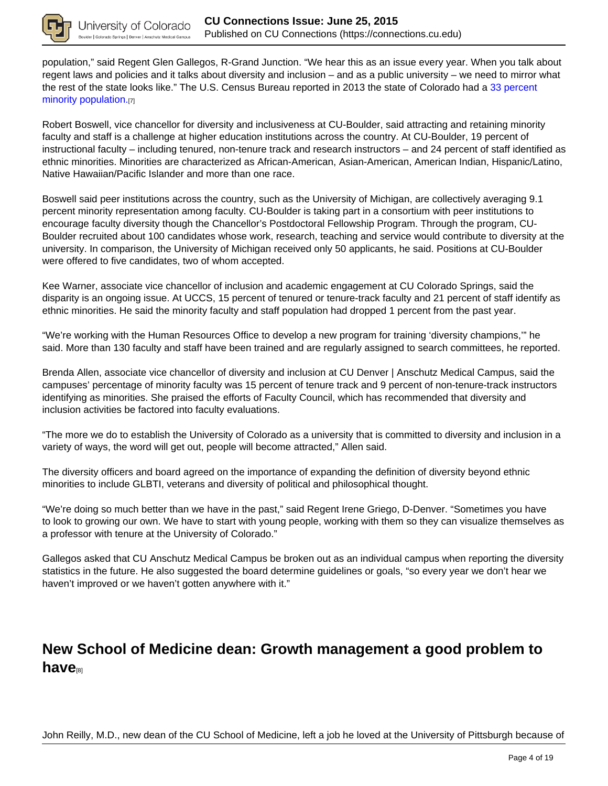

population," said Regent Glen Gallegos, R-Grand Junction. "We hear this as an issue every year. When you talk about regent laws and policies and it talks about diversity and inclusion – and as a public university – we need to mirror what the rest of the state looks like." The U.S. Census Bureau reported in 2013 the state of Colorado had a 33 percent minority population.[7]

Robert Boswell, vice chancellor for diversity and inclusiveness at CU-Boulder, said attracting and retaining minority faculty and staff is a challenge at higher education institutions across the country. At CU-Boulder, 19 percent of instructional faculty – including tenured, non-tenure track and research instructors – and 24 percent of staff identified as ethnic minorities. Minorities are characterized as African-American, Asian-American, American Indian, Hispanic/Latino, Native Hawaiian/Pacific Islander and more than one race.

Boswell said peer institutions across the country, such as the University of Michigan, are collectively averaging 9.1 percent minority representation among faculty. CU-Boulder is taking part in a consortium with peer institutions to encourage faculty diversity though the Chancellor's Postdoctoral Fellowship Program. Through the program, CU-Boulder recruited about 100 candidates whose work, research, teaching and service would contribute to diversity at the university. In comparison, the University of Michigan received only 50 applicants, he said. Positions at CU-Boulder were offered to five candidates, two of whom accepted.

Kee Warner, associate vice chancellor of inclusion and academic engagement at CU Colorado Springs, said the disparity is an ongoing issue. At UCCS, 15 percent of tenured or tenure-track faculty and 21 percent of staff identify as ethnic minorities. He said the minority faculty and staff population had dropped 1 percent from the past year.

"We're working with the Human Resources Office to develop a new program for training 'diversity champions,'" he said. More than 130 faculty and staff have been trained and are regularly assigned to search committees, he reported.

Brenda Allen, associate vice chancellor of diversity and inclusion at CU Denver | Anschutz Medical Campus, said the campuses' percentage of minority faculty was 15 percent of tenure track and 9 percent of non-tenure-track instructors identifying as minorities. She praised the efforts of Faculty Council, which has recommended that diversity and inclusion activities be factored into faculty evaluations.

"The more we do to establish the University of Colorado as a university that is committed to diversity and inclusion in a variety of ways, the word will get out, people will become attracted," Allen said.

The diversity officers and board agreed on the importance of expanding the definition of diversity beyond ethnic minorities to include GLBTI, veterans and diversity of political and philosophical thought.

"We're doing so much better than we have in the past," said Regent Irene Griego, D-Denver. "Sometimes you have to look to growing our own. We have to start with young people, working with them so they can visualize themselves as a professor with tenure at the University of Colorado."

Gallegos asked that CU Anschutz Medical Campus be broken out as an individual campus when reporting the diversity statistics in the future. He also suggested the board determine guidelines or goals, "so every year we don't hear we haven't improved or we haven't gotten anywhere with it."

## **New School of Medicine dean: Growth management a good problem to have**<sup>[8]</sup>

John Reilly, M.D., new dean of the CU School of Medicine, left a job he loved at the University of Pittsburgh because of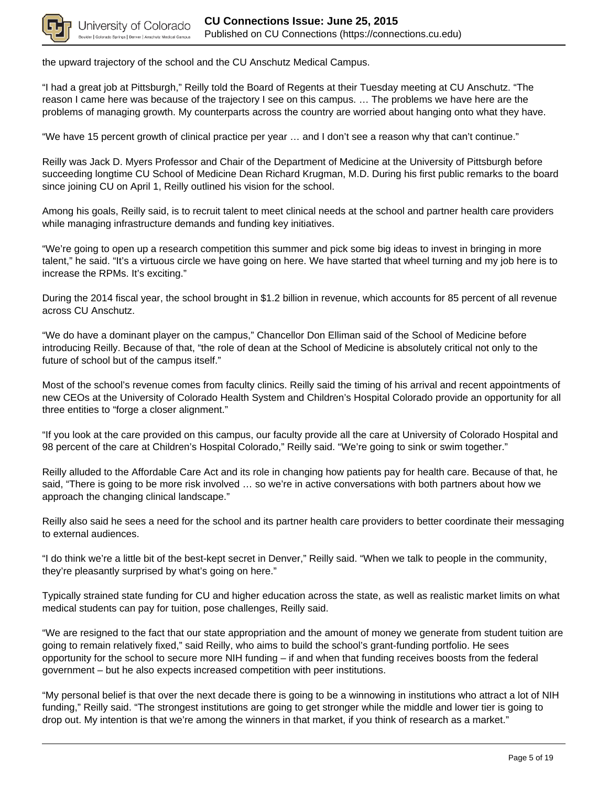

the upward trajectory of the school and the CU Anschutz Medical Campus.

"I had a great job at Pittsburgh," Reilly told the Board of Regents at their Tuesday meeting at CU Anschutz. "The reason I came here was because of the trajectory I see on this campus. … The problems we have here are the problems of managing growth. My counterparts across the country are worried about hanging onto what they have.

"We have 15 percent growth of clinical practice per year … and I don't see a reason why that can't continue."

Reilly was Jack D. Myers Professor and Chair of the Department of Medicine at the University of Pittsburgh before succeeding longtime CU School of Medicine Dean Richard Krugman, M.D. During his first public remarks to the board since joining CU on April 1, Reilly outlined his vision for the school.

Among his goals, Reilly said, is to recruit talent to meet clinical needs at the school and partner health care providers while managing infrastructure demands and funding key initiatives.

"We're going to open up a research competition this summer and pick some big ideas to invest in bringing in more talent," he said. "It's a virtuous circle we have going on here. We have started that wheel turning and my job here is to increase the RPMs. It's exciting."

During the 2014 fiscal year, the school brought in \$1.2 billion in revenue, which accounts for 85 percent of all revenue across CU Anschutz.

"We do have a dominant player on the campus," Chancellor Don Elliman said of the School of Medicine before introducing Reilly. Because of that, "the role of dean at the School of Medicine is absolutely critical not only to the future of school but of the campus itself."

Most of the school's revenue comes from faculty clinics. Reilly said the timing of his arrival and recent appointments of new CEOs at the University of Colorado Health System and Children's Hospital Colorado provide an opportunity for all three entities to "forge a closer alignment."

"If you look at the care provided on this campus, our faculty provide all the care at University of Colorado Hospital and 98 percent of the care at Children's Hospital Colorado," Reilly said. "We're going to sink or swim together."

Reilly alluded to the Affordable Care Act and its role in changing how patients pay for health care. Because of that, he said, "There is going to be more risk involved … so we're in active conversations with both partners about how we approach the changing clinical landscape."

Reilly also said he sees a need for the school and its partner health care providers to better coordinate their messaging to external audiences.

"I do think we're a little bit of the best-kept secret in Denver," Reilly said. "When we talk to people in the community, they're pleasantly surprised by what's going on here."

Typically strained state funding for CU and higher education across the state, as well as realistic market limits on what medical students can pay for tuition, pose challenges, Reilly said.

"We are resigned to the fact that our state appropriation and the amount of money we generate from student tuition are going to remain relatively fixed," said Reilly, who aims to build the school's grant-funding portfolio. He sees opportunity for the school to secure more NIH funding – if and when that funding receives boosts from the federal government – but he also expects increased competition with peer institutions.

"My personal belief is that over the next decade there is going to be a winnowing in institutions who attract a lot of NIH funding," Reilly said. "The strongest institutions are going to get stronger while the middle and lower tier is going to drop out. My intention is that we're among the winners in that market, if you think of research as a market."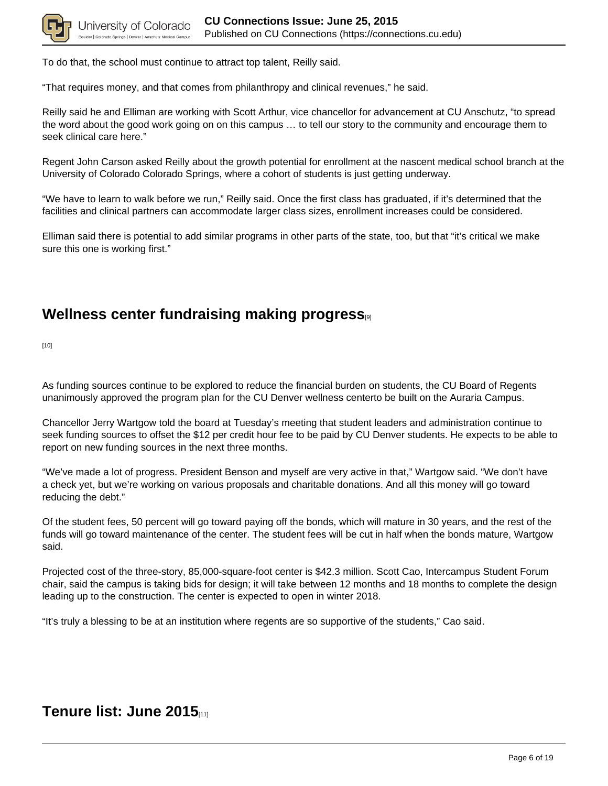

To do that, the school must continue to attract top talent, Reilly said.

"That requires money, and that comes from philanthropy and clinical revenues," he said.

Reilly said he and Elliman are working with Scott Arthur, vice chancellor for advancement at CU Anschutz, "to spread the word about the good work going on on this campus … to tell our story to the community and encourage them to seek clinical care here."

Regent John Carson asked Reilly about the growth potential for enrollment at the nascent medical school branch at the University of Colorado Colorado Springs, where a cohort of students is just getting underway.

"We have to learn to walk before we run," Reilly said. Once the first class has graduated, if it's determined that the facilities and clinical partners can accommodate larger class sizes, enrollment increases could be considered.

Elliman said there is potential to add similar programs in other parts of the state, too, but that "it's critical we make sure this one is working first."

## **Wellness center fundraising making progress**[9]

[10]

As funding sources continue to be explored to reduce the financial burden on students, the CU Board of Regents unanimously approved the program plan for the CU Denver wellness centerto be built on the Auraria Campus.

Chancellor Jerry Wartgow told the board at Tuesday's meeting that student leaders and administration continue to seek funding sources to offset the \$12 per credit hour fee to be paid by CU Denver students. He expects to be able to report on new funding sources in the next three months.

"We've made a lot of progress. President Benson and myself are very active in that," Wartgow said. "We don't have a check yet, but we're working on various proposals and charitable donations. And all this money will go toward reducing the debt."

Of the student fees, 50 percent will go toward paying off the bonds, which will mature in 30 years, and the rest of the funds will go toward maintenance of the center. The student fees will be cut in half when the bonds mature, Wartgow said.

Projected cost of the three-story, 85,000-square-foot center is \$42.3 million. Scott Cao, Intercampus Student Forum chair, said the campus is taking bids for design; it will take between 12 months and 18 months to complete the design leading up to the construction. The center is expected to open in winter 2018.

"It's truly a blessing to be at an institution where regents are so supportive of the students," Cao said.

#### **Tenure list: June 2015**[11]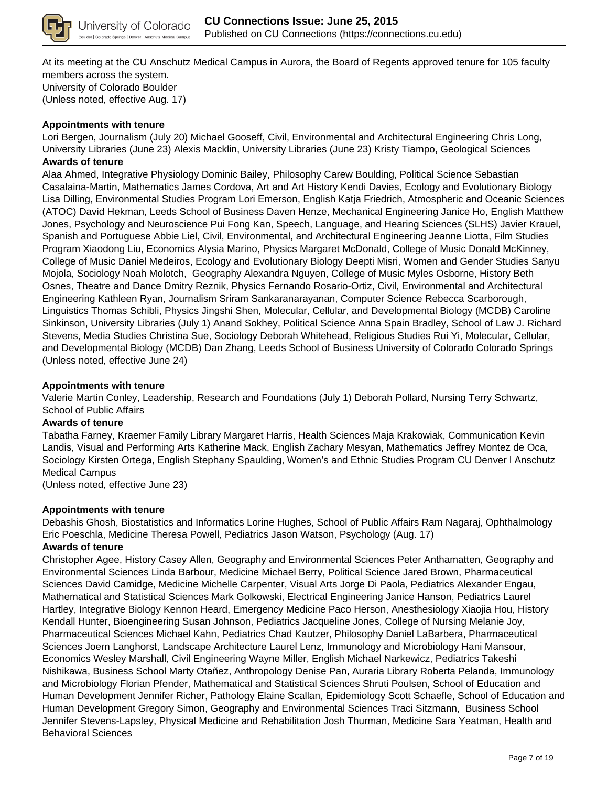

At its meeting at the CU Anschutz Medical Campus in Aurora, the Board of Regents approved tenure for 105 faculty members across the system. University of Colorado Boulder (Unless noted, effective Aug. 17)

#### **Appointments with tenure**

Lori Bergen, Journalism (July 20) Michael Gooseff, Civil, Environmental and Architectural Engineering Chris Long, University Libraries (June 23) Alexis Macklin, University Libraries (June 23) Kristy Tiampo, Geological Sciences **Awards of tenure**

Alaa Ahmed, Integrative Physiology Dominic Bailey, Philosophy Carew Boulding, Political Science Sebastian Casalaina-Martin, Mathematics James Cordova, Art and Art History Kendi Davies, Ecology and Evolutionary Biology Lisa Dilling, Environmental Studies Program Lori Emerson, English Katja Friedrich, Atmospheric and Oceanic Sciences (ATOC) David Hekman, Leeds School of Business Daven Henze, Mechanical Engineering Janice Ho, English Matthew Jones, Psychology and Neuroscience Pui Fong Kan, Speech, Language, and Hearing Sciences (SLHS) Javier Krauel, Spanish and Portuguese Abbie Liel, Civil, Environmental, and Architectural Engineering Jeanne Liotta, Film Studies Program Xiaodong Liu, Economics Alysia Marino, Physics Margaret McDonald, College of Music Donald McKinney, College of Music Daniel Medeiros, Ecology and Evolutionary Biology Deepti Misri, Women and Gender Studies Sanyu Mojola, Sociology Noah Molotch, Geography Alexandra Nguyen, College of Music Myles Osborne, History Beth Osnes, Theatre and Dance Dmitry Reznik, Physics Fernando Rosario-Ortiz, Civil, Environmental and Architectural Engineering Kathleen Ryan, Journalism Sriram Sankaranarayanan, Computer Science Rebecca Scarborough, Linguistics Thomas Schibli, Physics Jingshi Shen, Molecular, Cellular, and Developmental Biology (MCDB) Caroline Sinkinson, University Libraries (July 1) Anand Sokhey, Political Science Anna Spain Bradley, School of Law J. Richard Stevens, Media Studies Christina Sue, Sociology Deborah Whitehead, Religious Studies Rui Yi, Molecular, Cellular, and Developmental Biology (MCDB) Dan Zhang, Leeds School of Business University of Colorado Colorado Springs (Unless noted, effective June 24)

#### **Appointments with tenure**

Valerie Martin Conley, Leadership, Research and Foundations (July 1) Deborah Pollard, Nursing Terry Schwartz, School of Public Affairs

#### **Awards of tenure**

Tabatha Farney, Kraemer Family Library Margaret Harris, Health Sciences Maja Krakowiak, Communication Kevin Landis, Visual and Performing Arts Katherine Mack, English Zachary Mesyan, Mathematics Jeffrey Montez de Oca, Sociology Kirsten Ortega, English Stephany Spaulding, Women's and Ethnic Studies Program CU Denver l Anschutz Medical Campus

(Unless noted, effective June 23)

#### **Appointments with tenure**

Debashis Ghosh, Biostatistics and Informatics Lorine Hughes, School of Public Affairs Ram Nagaraj, Ophthalmology Eric Poeschla, Medicine Theresa Powell, Pediatrics Jason Watson, Psychology (Aug. 17)

#### **Awards of tenure**

Christopher Agee, History Casey Allen, Geography and Environmental Sciences Peter Anthamatten, Geography and Environmental Sciences Linda Barbour, Medicine Michael Berry, Political Science Jared Brown, Pharmaceutical Sciences David Camidge, Medicine Michelle Carpenter, Visual Arts Jorge Di Paola, Pediatrics Alexander Engau, Mathematical and Statistical Sciences Mark Golkowski, Electrical Engineering Janice Hanson, Pediatrics Laurel Hartley, Integrative Biology Kennon Heard, Emergency Medicine Paco Herson, Anesthesiology Xiaojia Hou, History Kendall Hunter, Bioengineering Susan Johnson, Pediatrics Jacqueline Jones, College of Nursing Melanie Joy, Pharmaceutical Sciences Michael Kahn, Pediatrics Chad Kautzer, Philosophy Daniel LaBarbera, Pharmaceutical Sciences Joern Langhorst, Landscape Architecture Laurel Lenz, Immunology and Microbiology Hani Mansour, Economics Wesley Marshall, Civil Engineering Wayne Miller, English Michael Narkewicz, Pediatrics Takeshi Nishikawa, Business School Marty Otañez, Anthropology Denise Pan, Auraria Library Roberta Pelanda, Immunology and Microbiology Florian Pfender, Mathematical and Statistical Sciences Shruti Poulsen, School of Education and Human Development Jennifer Richer, Pathology Elaine Scallan, Epidemiology Scott Schaefle, School of Education and Human Development Gregory Simon, Geography and Environmental Sciences Traci Sitzmann, Business School Jennifer Stevens-Lapsley, Physical Medicine and Rehabilitation Josh Thurman, Medicine Sara Yeatman, Health and Behavioral Sciences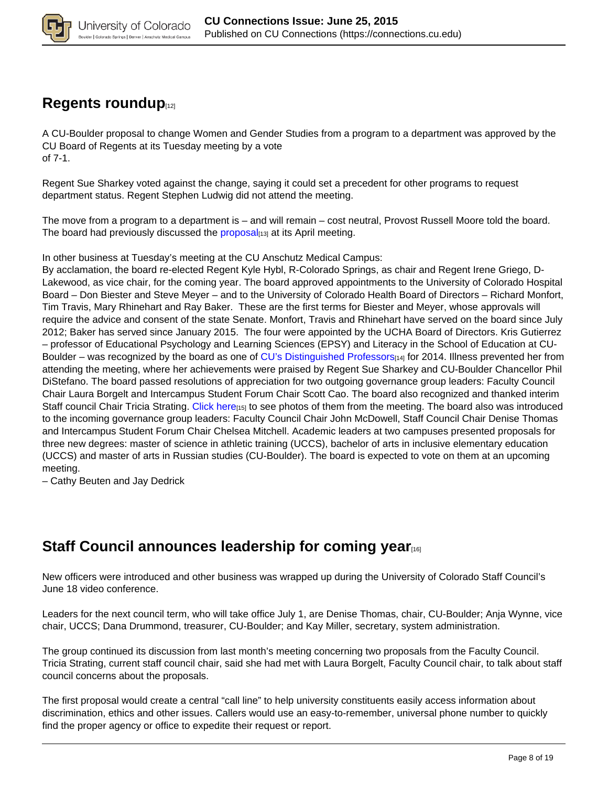

### **Regents roundup**<sup>[12]</sup>

A CU-Boulder proposal to change Women and Gender Studies from a program to a department was approved by the CU Board of Regents at its Tuesday meeting by a vote of 7-1.

Regent Sue Sharkey voted against the change, saying it could set a precedent for other programs to request department status. Regent Stephen Ludwig did not attend the meeting.

The move from a program to a department is – and will remain – cost neutral, Provost Russell Moore told the board. The board had previously discussed the proposal<sub>[13]</sub> at its April meeting.

In other business at Tuesday's meeting at the CU Anschutz Medical Campus:

By acclamation, the board re-elected Regent Kyle Hybl, R-Colorado Springs, as chair and Regent Irene Griego, D-Lakewood, as vice chair, for the coming year. The board approved appointments to the University of Colorado Hospital Board – Don Biester and Steve Meyer – and to the University of Colorado Health Board of Directors – Richard Monfort, Tim Travis, Mary Rhinehart and Ray Baker. These are the first terms for Biester and Meyer, whose approvals will require the advice and consent of the state Senate. Monfort, Travis and Rhinehart have served on the board since July 2012; Baker has served since January 2015. The four were appointed by the UCHA Board of Directors. Kris Gutierrez – professor of Educational Psychology and Learning Sciences (EPSY) and Literacy in the School of Education at CU-Boulder – was recognized by the board as one of CU's Distinguished Professors<sub>[14]</sub> for 2014. Illness prevented her from attending the meeting, where her achievements were praised by Regent Sue Sharkey and CU-Boulder Chancellor Phil DiStefano. The board passed resolutions of appreciation for two outgoing governance group leaders: Faculty Council Chair Laura Borgelt and Intercampus Student Forum Chair Scott Cao. The board also recognized and thanked interim Staff council Chair Tricia Strating. Click here<sub>[15]</sub> to see photos of them from the meeting. The board also was introduced to the incoming governance group leaders: Faculty Council Chair John McDowell, Staff Council Chair Denise Thomas and Intercampus Student Forum Chair Chelsea Mitchell. Academic leaders at two campuses presented proposals for three new degrees: master of science in athletic training (UCCS), bachelor of arts in inclusive elementary education (UCCS) and master of arts in Russian studies (CU-Boulder). The board is expected to vote on them at an upcoming meeting.

– Cathy Beuten and Jay Dedrick

### **Staff Council announces leadership for coming year**

New officers were introduced and other business was wrapped up during the University of Colorado Staff Council's June 18 video conference.

Leaders for the next council term, who will take office July 1, are Denise Thomas, chair, CU-Boulder; Anja Wynne, vice chair, UCCS; Dana Drummond, treasurer, CU-Boulder; and Kay Miller, secretary, system administration.

The group continued its discussion from last month's meeting concerning two proposals from the Faculty Council. Tricia Strating, current staff council chair, said she had met with Laura Borgelt, Faculty Council chair, to talk about staff council concerns about the proposals.

The first proposal would create a central "call line" to help university constituents easily access information about discrimination, ethics and other issues. Callers would use an easy-to-remember, universal phone number to quickly find the proper agency or office to expedite their request or report.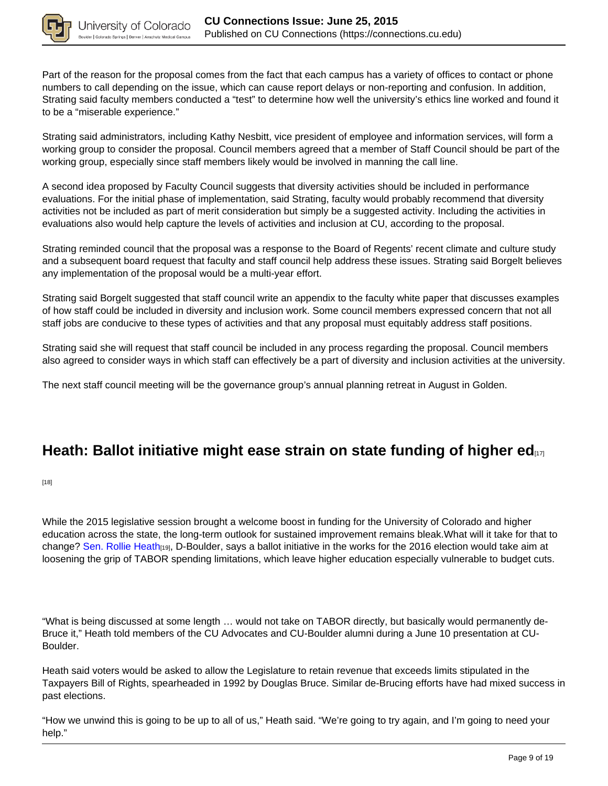

Part of the reason for the proposal comes from the fact that each campus has a variety of offices to contact or phone numbers to call depending on the issue, which can cause report delays or non-reporting and confusion. In addition, Strating said faculty members conducted a "test" to determine how well the university's ethics line worked and found it to be a "miserable experience."

Strating said administrators, including Kathy Nesbitt, vice president of employee and information services, will form a working group to consider the proposal. Council members agreed that a member of Staff Council should be part of the working group, especially since staff members likely would be involved in manning the call line.

A second idea proposed by Faculty Council suggests that diversity activities should be included in performance evaluations. For the initial phase of implementation, said Strating, faculty would probably recommend that diversity activities not be included as part of merit consideration but simply be a suggested activity. Including the activities in evaluations also would help capture the levels of activities and inclusion at CU, according to the proposal.

Strating reminded council that the proposal was a response to the Board of Regents' recent climate and culture study and a subsequent board request that faculty and staff council help address these issues. Strating said Borgelt believes any implementation of the proposal would be a multi-year effort.

Strating said Borgelt suggested that staff council write an appendix to the faculty white paper that discusses examples of how staff could be included in diversity and inclusion work. Some council members expressed concern that not all staff jobs are conducive to these types of activities and that any proposal must equitably address staff positions.

Strating said she will request that staff council be included in any process regarding the proposal. Council members also agreed to consider ways in which staff can effectively be a part of diversity and inclusion activities at the university.

The next staff council meeting will be the governance group's annual planning retreat in August in Golden.

### **Heath: Ballot initiative might ease strain on state funding of higher ed**

[18]

While the 2015 legislative session brought a welcome boost in funding for the University of Colorado and higher education across the state, the long-term outlook for sustained improvement remains bleak.What will it take for that to change? Sen. Rollie Heath<sub>[19]</sub>, D-Boulder, says a ballot initiative in the works for the 2016 election would take aim at loosening the grip of TABOR spending limitations, which leave higher education especially vulnerable to budget cuts.

"What is being discussed at some length … would not take on TABOR directly, but basically would permanently de-Bruce it," Heath told members of the CU Advocates and CU-Boulder alumni during a June 10 presentation at CU-Boulder.

Heath said voters would be asked to allow the Legislature to retain revenue that exceeds limits stipulated in the Taxpayers Bill of Rights, spearheaded in 1992 by Douglas Bruce. Similar de-Brucing efforts have had mixed success in past elections.

"How we unwind this is going to be up to all of us," Heath said. "We're going to try again, and I'm going to need your help."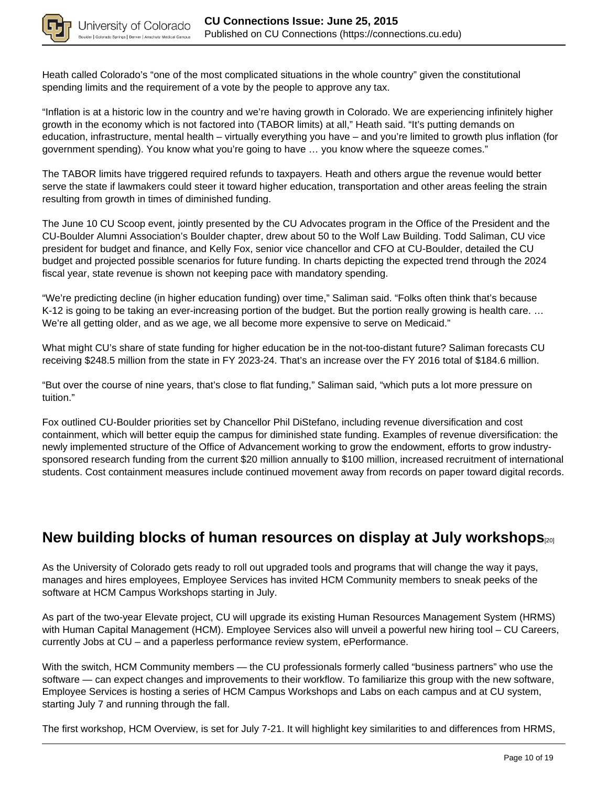

Heath called Colorado's "one of the most complicated situations in the whole country" given the constitutional spending limits and the requirement of a vote by the people to approve any tax.

"Inflation is at a historic low in the country and we're having growth in Colorado. We are experiencing infinitely higher growth in the economy which is not factored into (TABOR limits) at all," Heath said. "It's putting demands on education, infrastructure, mental health – virtually everything you have – and you're limited to growth plus inflation (for government spending). You know what you're going to have … you know where the squeeze comes."

The TABOR limits have triggered required refunds to taxpayers. Heath and others argue the revenue would better serve the state if lawmakers could steer it toward higher education, transportation and other areas feeling the strain resulting from growth in times of diminished funding.

The June 10 CU Scoop event, jointly presented by the CU Advocates program in the Office of the President and the CU-Boulder Alumni Association's Boulder chapter, drew about 50 to the Wolf Law Building. Todd Saliman, CU vice president for budget and finance, and Kelly Fox, senior vice chancellor and CFO at CU-Boulder, detailed the CU budget and projected possible scenarios for future funding. In charts depicting the expected trend through the 2024 fiscal year, state revenue is shown not keeping pace with mandatory spending.

"We're predicting decline (in higher education funding) over time," Saliman said. "Folks often think that's because K-12 is going to be taking an ever-increasing portion of the budget. But the portion really growing is health care. … We're all getting older, and as we age, we all become more expensive to serve on Medicaid."

What might CU's share of state funding for higher education be in the not-too-distant future? Saliman forecasts CU receiving \$248.5 million from the state in FY 2023-24. That's an increase over the FY 2016 total of \$184.6 million.

"But over the course of nine years, that's close to flat funding," Saliman said, "which puts a lot more pressure on tuition."

Fox outlined CU-Boulder priorities set by Chancellor Phil DiStefano, including revenue diversification and cost containment, which will better equip the campus for diminished state funding. Examples of revenue diversification: the newly implemented structure of the Office of Advancement working to grow the endowment, efforts to grow industrysponsored research funding from the current \$20 million annually to \$100 million, increased recruitment of international students. Cost containment measures include continued movement away from records on paper toward digital records.

### **New building blocks of human resources on display at July workshops**[20]

As the University of Colorado gets ready to roll out upgraded tools and programs that will change the way it pays, manages and hires employees, Employee Services has invited HCM Community members to sneak peeks of the software at HCM Campus Workshops starting in July.

As part of the two-year Elevate project, CU will upgrade its existing Human Resources Management System (HRMS) with Human Capital Management (HCM). Employee Services also will unveil a powerful new hiring tool – CU Careers, currently Jobs at CU – and a paperless performance review system, ePerformance.

With the switch, HCM Community members — the CU professionals formerly called "business partners" who use the software — can expect changes and improvements to their workflow. To familiarize this group with the new software, Employee Services is hosting a series of HCM Campus Workshops and Labs on each campus and at CU system, starting July 7 and running through the fall.

The first workshop, HCM Overview, is set for July 7-21. It will highlight key similarities to and differences from HRMS,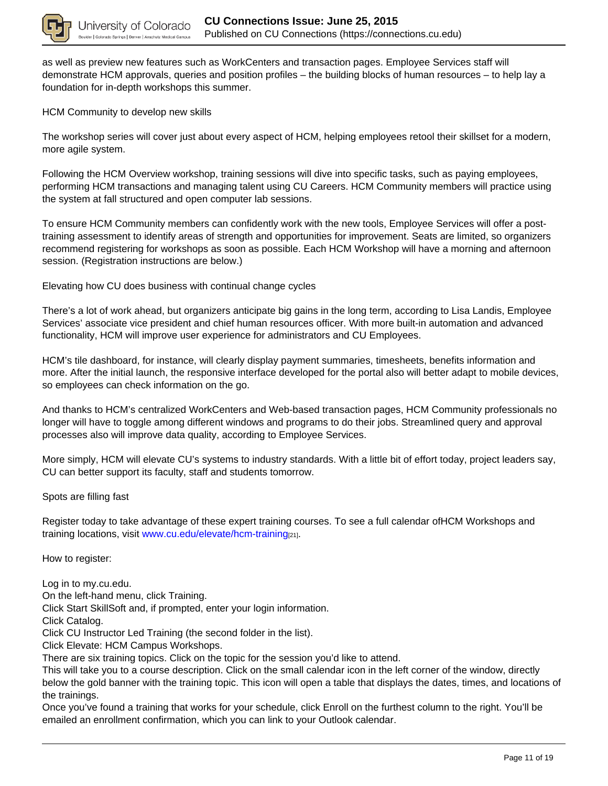

as well as preview new features such as WorkCenters and transaction pages. Employee Services staff will demonstrate HCM approvals, queries and position profiles – the building blocks of human resources – to help lay a foundation for in-depth workshops this summer.

HCM Community to develop new skills

The workshop series will cover just about every aspect of HCM, helping employees retool their skillset for a modern, more agile system.

Following the HCM Overview workshop, training sessions will dive into specific tasks, such as paying employees, performing HCM transactions and managing talent using CU Careers. HCM Community members will practice using the system at fall structured and open computer lab sessions.

To ensure HCM Community members can confidently work with the new tools, Employee Services will offer a posttraining assessment to identify areas of strength and opportunities for improvement. Seats are limited, so organizers recommend registering for workshops as soon as possible. Each HCM Workshop will have a morning and afternoon session. (Registration instructions are below.)

Elevating how CU does business with continual change cycles

There's a lot of work ahead, but organizers anticipate big gains in the long term, according to Lisa Landis, Employee Services' associate vice president and chief human resources officer. With more built-in automation and advanced functionality, HCM will improve user experience for administrators and CU Employees.

HCM's tile dashboard, for instance, will clearly display payment summaries, timesheets, benefits information and more. After the initial launch, the responsive interface developed for the portal also will better adapt to mobile devices, so employees can check information on the go.

And thanks to HCM's centralized WorkCenters and Web-based transaction pages, HCM Community professionals no longer will have to toggle among different windows and programs to do their jobs. Streamlined query and approval processes also will improve data quality, according to Employee Services.

More simply, HCM will elevate CU's systems to industry standards. With a little bit of effort today, project leaders say, CU can better support its faculty, staff and students tomorrow.

Spots are filling fast

Register today to take advantage of these expert training courses. To see a full calendar ofHCM Workshops and training locations, visit www.cu.edu/elevate/hcm-training[21].

How to register:

Log in to my.cu.edu.

On the left-hand menu, click Training.

Click Start SkillSoft and, if prompted, enter your login information.

Click Catalog.

Click CU Instructor Led Training (the second folder in the list).

Click Elevate: HCM Campus Workshops.

There are six training topics. Click on the topic for the session you'd like to attend.

This will take you to a course description. Click on the small calendar icon in the left corner of the window, directly below the gold banner with the training topic. This icon will open a table that displays the dates, times, and locations of the trainings.

Once you've found a training that works for your schedule, click Enroll on the furthest column to the right. You'll be emailed an enrollment confirmation, which you can link to your Outlook calendar.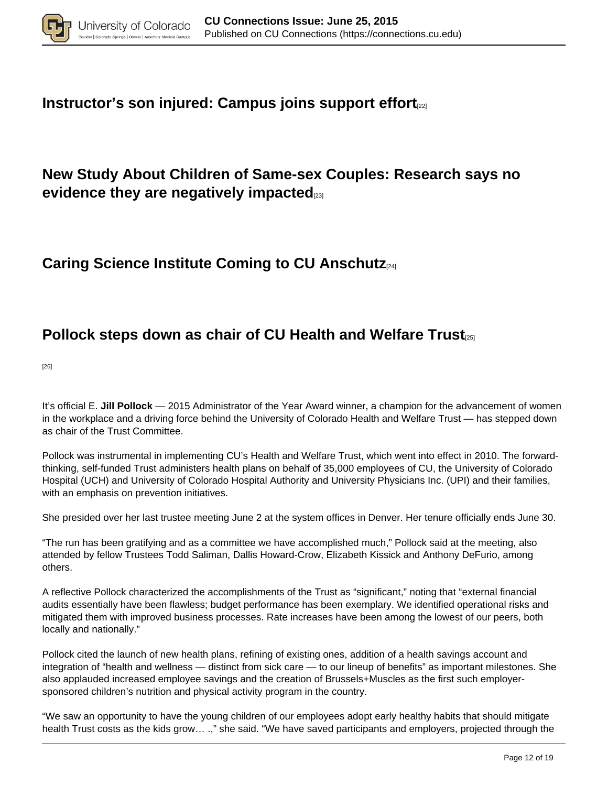

### **Instructor's son injured: Campus joins support effort**<sub>[22]</sub>

### **New Study About Children of Same-sex Couples: Research says no evidence they are negatively impacted**[23]

### **Caring Science Institute Coming to CU Anschutz**[24]

### **Pollock steps down as chair of CU Health and Welfare Trust**

[26]

It's official E. **Jill Pollock** — 2015 Administrator of the Year Award winner, a champion for the advancement of women in the workplace and a driving force behind the University of Colorado Health and Welfare Trust — has stepped down as chair of the Trust Committee.

Pollock was instrumental in implementing CU's Health and Welfare Trust, which went into effect in 2010. The forwardthinking, self-funded Trust administers health plans on behalf of 35,000 employees of CU, the University of Colorado Hospital (UCH) and University of Colorado Hospital Authority and University Physicians Inc. (UPI) and their families, with an emphasis on prevention initiatives.

She presided over her last trustee meeting June 2 at the system offices in Denver. Her tenure officially ends June 30.

"The run has been gratifying and as a committee we have accomplished much," Pollock said at the meeting, also attended by fellow Trustees Todd Saliman, Dallis Howard-Crow, Elizabeth Kissick and Anthony DeFurio, among others.

A reflective Pollock characterized the accomplishments of the Trust as "significant," noting that "external financial audits essentially have been flawless; budget performance has been exemplary. We identified operational risks and mitigated them with improved business processes. Rate increases have been among the lowest of our peers, both locally and nationally."

Pollock cited the launch of new health plans, refining of existing ones, addition of a health savings account and integration of "health and wellness — distinct from sick care — to our lineup of benefits" as important milestones. She also applauded increased employee savings and the creation of Brussels+Muscles as the first such employersponsored children's nutrition and physical activity program in the country.

"We saw an opportunity to have the young children of our employees adopt early healthy habits that should mitigate health Trust costs as the kids grow… .," she said. "We have saved participants and employers, projected through the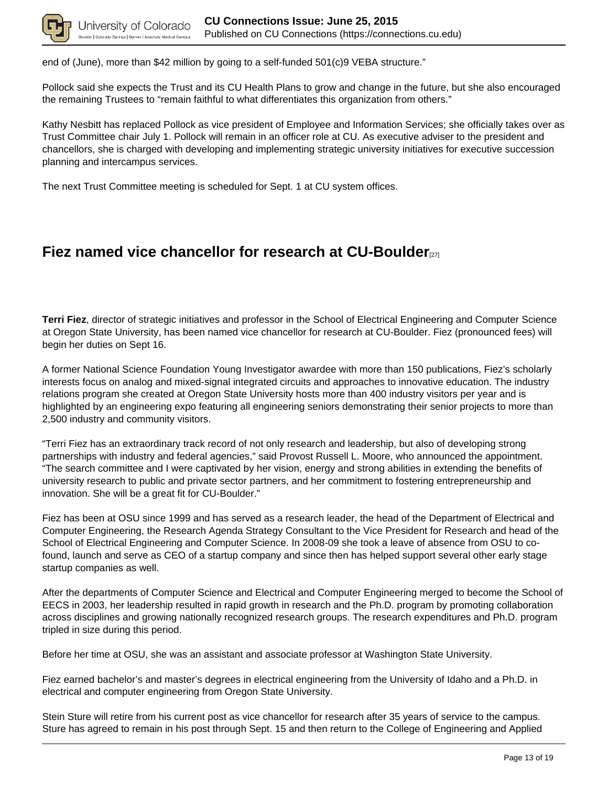

end of (June), more than \$42 million by going to a self-funded 501(c)9 VEBA structure."

Pollock said she expects the Trust and its CU Health Plans to grow and change in the future, but she also encouraged the remaining Trustees to "remain faithful to what differentiates this organization from others."

Kathy Nesbitt has replaced Pollock as vice president of Employee and Information Services; she officially takes over as Trust Committee chair July 1. Pollock will remain in an officer role at CU. As executive adviser to the president and chancellors, she is charged with developing and implementing strategic university initiatives for executive succession planning and intercampus services.

The next Trust Committee meeting is scheduled for Sept. 1 at CU system offices.

#### **Fiez named vice chancellor for research at CU-Boulder**

**Terri Fiez**, director of strategic initiatives and professor in the School of Electrical Engineering and Computer Science at Oregon State University, has been named vice chancellor for research at CU-Boulder. Fiez (pronounced fees) will begin her duties on Sept 16.

A former National Science Foundation Young Investigator awardee with more than 150 publications, Fiez's scholarly interests focus on analog and mixed-signal integrated circuits and approaches to innovative education. The industry relations program she created at Oregon State University hosts more than 400 industry visitors per year and is highlighted by an engineering expo featuring all engineering seniors demonstrating their senior projects to more than 2,500 industry and community visitors.

"Terri Fiez has an extraordinary track record of not only research and leadership, but also of developing strong partnerships with industry and federal agencies," said Provost Russell L. Moore, who announced the appointment. "The search committee and I were captivated by her vision, energy and strong abilities in extending the benefits of university research to public and private sector partners, and her commitment to fostering entrepreneurship and innovation. She will be a great fit for CU-Boulder."

Fiez has been at OSU since 1999 and has served as a research leader, the head of the Department of Electrical and Computer Engineering, the Research Agenda Strategy Consultant to the Vice President for Research and head of the School of Electrical Engineering and Computer Science. In 2008-09 she took a leave of absence from OSU to cofound, launch and serve as CEO of a startup company and since then has helped support several other early stage startup companies as well.

After the departments of Computer Science and Electrical and Computer Engineering merged to become the School of EECS in 2003, her leadership resulted in rapid growth in research and the Ph.D. program by promoting collaboration across disciplines and growing nationally recognized research groups. The research expenditures and Ph.D. program tripled in size during this period.

Before her time at OSU, she was an assistant and associate professor at Washington State University.

Fiez earned bachelor's and master's degrees in electrical engineering from the University of Idaho and a Ph.D. in electrical and computer engineering from Oregon State University.

Stein Sture will retire from his current post as vice chancellor for research after 35 years of service to the campus. Sture has agreed to remain in his post through Sept. 15 and then return to the College of Engineering and Applied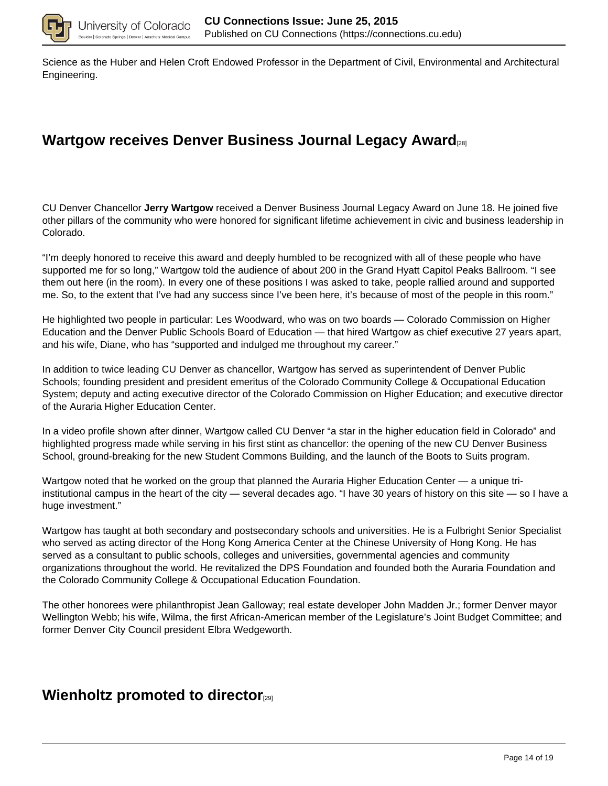

Science as the Huber and Helen Croft Endowed Professor in the Department of Civil, Environmental and Architectural Engineering.

## **Wartgow receives Denver Business Journal Legacy Award**[28]

CU Denver Chancellor **Jerry Wartgow** received a Denver Business Journal Legacy Award on June 18. He joined five other pillars of the community who were honored for significant lifetime achievement in civic and business leadership in Colorado.

"I'm deeply honored to receive this award and deeply humbled to be recognized with all of these people who have supported me for so long," Wartgow told the audience of about 200 in the Grand Hyatt Capitol Peaks Ballroom. "I see them out here (in the room). In every one of these positions I was asked to take, people rallied around and supported me. So, to the extent that I've had any success since I've been here, it's because of most of the people in this room."

He highlighted two people in particular: Les Woodward, who was on two boards — Colorado Commission on Higher Education and the Denver Public Schools Board of Education — that hired Wartgow as chief executive 27 years apart, and his wife, Diane, who has "supported and indulged me throughout my career."

In addition to twice leading CU Denver as chancellor, Wartgow has served as superintendent of Denver Public Schools; founding president and president emeritus of the Colorado Community College & Occupational Education System; deputy and acting executive director of the Colorado Commission on Higher Education; and executive director of the Auraria Higher Education Center.

In a video profile shown after dinner, Wartgow called CU Denver "a star in the higher education field in Colorado" and highlighted progress made while serving in his first stint as chancellor: the opening of the new CU Denver Business School, ground-breaking for the new Student Commons Building, and the launch of the Boots to Suits program.

Wartgow noted that he worked on the group that planned the Auraria Higher Education Center — a unique triinstitutional campus in the heart of the city — several decades ago. "I have 30 years of history on this site — so I have a huge investment."

Wartgow has taught at both secondary and postsecondary schools and universities. He is a Fulbright Senior Specialist who served as acting director of the Hong Kong America Center at the Chinese University of Hong Kong. He has served as a consultant to public schools, colleges and universities, governmental agencies and community organizations throughout the world. He revitalized the DPS Foundation and founded both the Auraria Foundation and the Colorado Community College & Occupational Education Foundation.

The other honorees were philanthropist Jean Galloway; real estate developer John Madden Jr.; former Denver mayor Wellington Webb; his wife, Wilma, the first African-American member of the Legislature's Joint Budget Committee; and former Denver City Council president Elbra Wedgeworth.

#### **Wienholtz promoted to director**[29]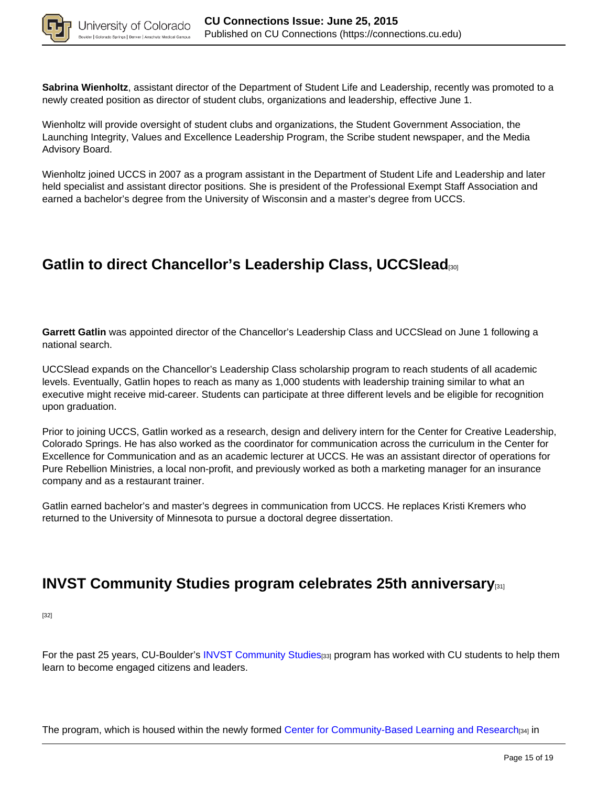

**Sabrina Wienholtz**, assistant director of the Department of Student Life and Leadership, recently was promoted to a newly created position as director of student clubs, organizations and leadership, effective June 1.

Wienholtz will provide oversight of student clubs and organizations, the Student Government Association, the Launching Integrity, Values and Excellence Leadership Program, the Scribe student newspaper, and the Media Advisory Board.

Wienholtz joined UCCS in 2007 as a program assistant in the Department of Student Life and Leadership and later held specialist and assistant director positions. She is president of the Professional Exempt Staff Association and earned a bachelor's degree from the University of Wisconsin and a master's degree from UCCS.

## **Gatlin to direct Chancellor's Leadership Class, UCCSlead**[30]

**Garrett Gatlin** was appointed director of the Chancellor's Leadership Class and UCCSlead on June 1 following a national search.

UCCSlead expands on the Chancellor's Leadership Class scholarship program to reach students of all academic levels. Eventually, Gatlin hopes to reach as many as 1,000 students with leadership training similar to what an executive might receive mid-career. Students can participate at three different levels and be eligible for recognition upon graduation.

Prior to joining UCCS, Gatlin worked as a research, design and delivery intern for the Center for Creative Leadership, Colorado Springs. He has also worked as the coordinator for communication across the curriculum in the Center for Excellence for Communication and as an academic lecturer at UCCS. He was an assistant director of operations for Pure Rebellion Ministries, a local non-profit, and previously worked as both a marketing manager for an insurance company and as a restaurant trainer.

Gatlin earned bachelor's and master's degrees in communication from UCCS. He replaces Kristi Kremers who returned to the University of Minnesota to pursue a doctoral degree dissertation.

### **INVST Community Studies program celebrates 25th anniversary**

[32]

For the past 25 years, CU-Boulder's INVST Community Studies[33] program has worked with CU students to help them learn to become engaged citizens and leaders.

The program, which is housed within the newly formed Center for Community-Based Learning and Research[34] in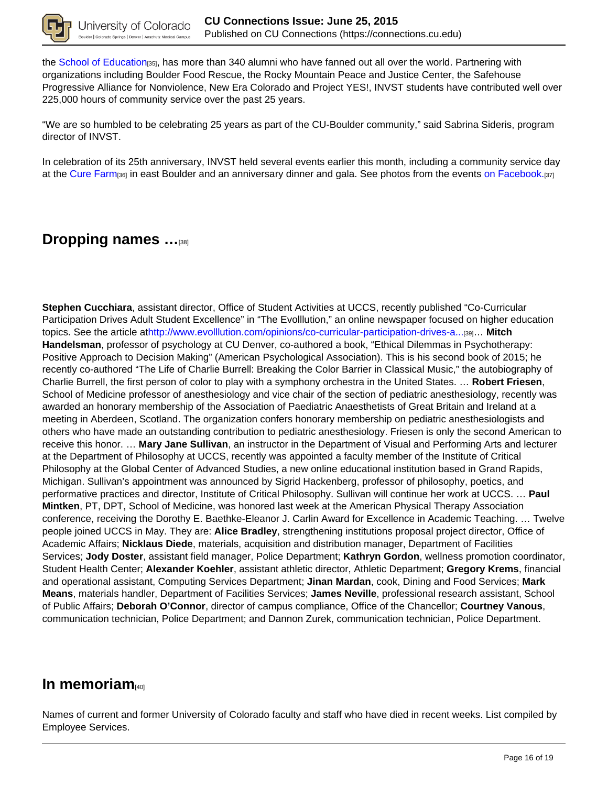

the School of Education<sub>[35]</sub>, has more than 340 alumni who have fanned out all over the world. Partnering with organizations including Boulder Food Rescue, the Rocky Mountain Peace and Justice Center, the Safehouse Progressive Alliance for Nonviolence, New Era Colorado and Project YES!, INVST students have contributed well over 225,000 hours of community service over the past 25 years.

"We are so humbled to be celebrating 25 years as part of the CU-Boulder community," said Sabrina Sideris, program director of INVST.

In celebration of its 25th anniversary, INVST held several events earlier this month, including a community service day at the Cure Farm<sub>[36]</sub> in east Boulder and an anniversary dinner and gala. See photos from the events on Facebook.[37]

#### **Dropping names …**[38]

**Stephen Cucchiara**, assistant director, Office of Student Activities at UCCS, recently published "Co-Curricular Participation Drives Adult Student Excellence" in "The Evolllution," an online newspaper focused on higher education topics. See the article athttp://www.evolllution.com/opinions/co-curricular-participation-drives-a...[39]… **Mitch Handelsman**, professor of psychology at CU Denver, co-authored a book, "Ethical Dilemmas in Psychotherapy: Positive Approach to Decision Making" (American Psychological Association). This is his second book of 2015; he recently co-authored "The Life of Charlie Burrell: Breaking the Color Barrier in Classical Music," the autobiography of Charlie Burrell, the first person of color to play with a symphony orchestra in the United States. … **Robert Friesen**, School of Medicine professor of anesthesiology and vice chair of the section of pediatric anesthesiology, recently was awarded an honorary membership of the Association of Paediatric Anaesthetists of Great Britain and Ireland at a meeting in Aberdeen, Scotland. The organization confers honorary membership on pediatric anesthesiologists and others who have made an outstanding contribution to pediatric anesthesiology. Friesen is only the second American to receive this honor. … **Mary Jane Sullivan**, an instructor in the Department of Visual and Performing Arts and lecturer at the Department of Philosophy at UCCS, recently was appointed a faculty member of the Institute of Critical Philosophy at the Global Center of Advanced Studies, a new online educational institution based in Grand Rapids, Michigan. Sullivan's appointment was announced by Sigrid Hackenberg, professor of philosophy, poetics, and performative practices and director, Institute of Critical Philosophy. Sullivan will continue her work at UCCS. … **Paul Mintken**, PT, DPT, School of Medicine, was honored last week at the American Physical Therapy Association conference, receiving the Dorothy E. Baethke-Eleanor J. Carlin Award for Excellence in Academic Teaching. … Twelve people joined UCCS in May. They are: **Alice Bradley**, strengthening institutions proposal project director, Office of Academic Affairs; **Nicklaus Diede**, materials, acquisition and distribution manager, Department of Facilities Services; **Jody Doster**, assistant field manager, Police Department; **Kathryn Gordon**, wellness promotion coordinator, Student Health Center; **Alexander Koehler**, assistant athletic director, Athletic Department; **Gregory Krems**, financial and operational assistant, Computing Services Department; **Jinan Mardan**, cook, Dining and Food Services; **Mark Means**, materials handler, Department of Facilities Services; **James Neville**, professional research assistant, School of Public Affairs; **Deborah O'Connor**, director of campus compliance, Office of the Chancellor; **Courtney Vanous**, communication technician, Police Department; and Dannon Zurek, communication technician, Police Department.

#### **In memoriam**

Names of current and former University of Colorado faculty and staff who have died in recent weeks. List compiled by Employee Services.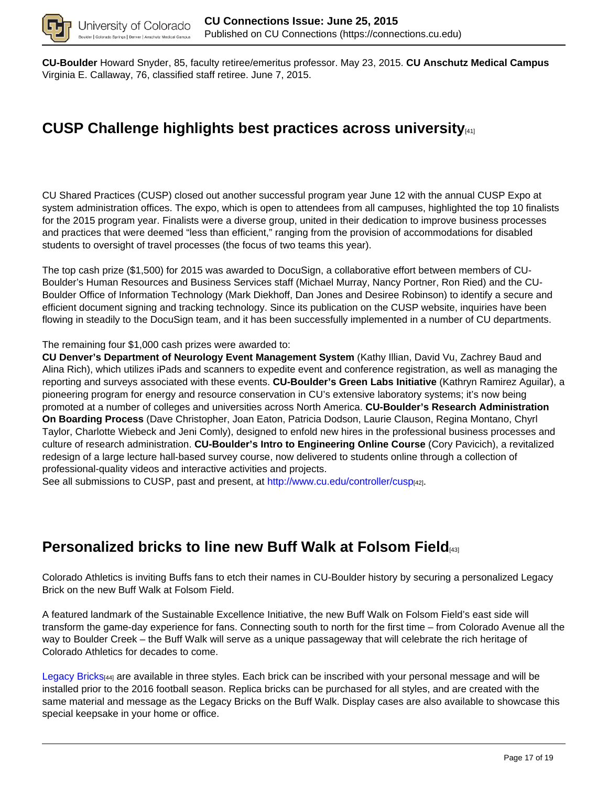

**CU-Boulder** Howard Snyder, 85, faculty retiree/emeritus professor. May 23, 2015. **CU Anschutz Medical Campus** Virginia E. Callaway, 76, classified staff retiree. June 7, 2015.

# **CUSP Challenge highlights best practices across university**[41]

CU Shared Practices (CUSP) closed out another successful program year June 12 with the annual CUSP Expo at system administration offices. The expo, which is open to attendees from all campuses, highlighted the top 10 finalists for the 2015 program year. Finalists were a diverse group, united in their dedication to improve business processes and practices that were deemed "less than efficient," ranging from the provision of accommodations for disabled students to oversight of travel processes (the focus of two teams this year).

The top cash prize (\$1,500) for 2015 was awarded to DocuSign, a collaborative effort between members of CU-Boulder's Human Resources and Business Services staff (Michael Murray, Nancy Portner, Ron Ried) and the CU-Boulder Office of Information Technology (Mark Diekhoff, Dan Jones and Desiree Robinson) to identify a secure and efficient document signing and tracking technology. Since its publication on the CUSP website, inquiries have been flowing in steadily to the DocuSign team, and it has been successfully implemented in a number of CU departments.

The remaining four \$1,000 cash prizes were awarded to:

**CU Denver's Department of Neurology Event Management System** (Kathy Illian, David Vu, Zachrey Baud and Alina Rich), which utilizes iPads and scanners to expedite event and conference registration, as well as managing the reporting and surveys associated with these events. **CU-Boulder's Green Labs Initiative** (Kathryn Ramirez Aguilar), a pioneering program for energy and resource conservation in CU's extensive laboratory systems; it's now being promoted at a number of colleges and universities across North America. **CU-Boulder's Research Administration On Boarding Process** (Dave Christopher, Joan Eaton, Patricia Dodson, Laurie Clauson, Regina Montano, Chyrl Taylor, Charlotte Wiebeck and Jeni Comly), designed to enfold new hires in the professional business processes and culture of research administration. **CU-Boulder's Intro to Engineering Online Course** (Cory Pavicich), a revitalized redesign of a large lecture hall-based survey course, now delivered to students online through a collection of professional-quality videos and interactive activities and projects.

See all submissions to CUSP, past and present, at http://www.cu.edu/controller/cusp[42].

### **Personalized bricks to line new Buff Walk at Folsom Field**[43]

Colorado Athletics is inviting Buffs fans to etch their names in CU-Boulder history by securing a personalized Legacy Brick on the new Buff Walk at Folsom Field.

A featured landmark of the Sustainable Excellence Initiative, the new Buff Walk on Folsom Field's east side will transform the game-day experience for fans. Connecting south to north for the first time – from Colorado Avenue all the way to Boulder Creek – the Buff Walk will serve as a unique passageway that will celebrate the rich heritage of Colorado Athletics for decades to come.

Legacy Bricks[44] are available in three styles. Each brick can be inscribed with your personal message and will be installed prior to the 2016 football season. Replica bricks can be purchased for all styles, and are created with the same material and message as the Legacy Bricks on the Buff Walk. Display cases are also available to showcase this special keepsake in your home or office.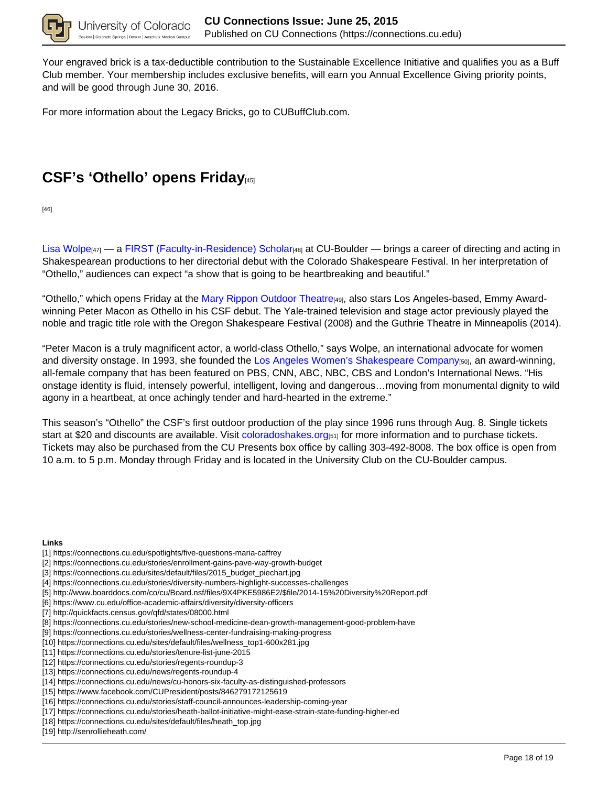

Your engraved brick is a tax-deductible contribution to the Sustainable Excellence Initiative and qualifies you as a Buff Club member. Your membership includes exclusive benefits, will earn you Annual Excellence Giving priority points, and will be good through June 30, 2016.

For more information about the Legacy Bricks, go to CUBuffClub.com.

## **CSF's 'Othello' opens Friday**[45]

[46]

Lisa Wolpe<sub>[47]</sub> — a FIRST (Faculty-in-Residence) Scholar<sub>[48]</sub> at CU-Boulder — brings a career of directing and acting in Shakespearean productions to her directorial debut with the Colorado Shakespeare Festival. In her interpretation of "Othello," audiences can expect "a show that is going to be heartbreaking and beautiful."

"Othello," which opens Friday at the Mary Rippon Outdoor Theatre[49], also stars Los Angeles-based, Emmy Awardwinning Peter Macon as Othello in his CSF debut. The Yale-trained television and stage actor previously played the noble and tragic title role with the Oregon Shakespeare Festival (2008) and the Guthrie Theatre in Minneapolis (2014).

"Peter Macon is a truly magnificent actor, a world-class Othello," says Wolpe, an international advocate for women and diversity onstage. In 1993, she founded the Los Angeles Women's Shakespeare Company[50], an award-winning, all-female company that has been featured on PBS, CNN, ABC, NBC, CBS and London's International News. "His onstage identity is fluid, intensely powerful, intelligent, loving and dangerous…moving from monumental dignity to wild agony in a heartbeat, at once achingly tender and hard-hearted in the extreme."

This season's "Othello" the CSF's first outdoor production of the play since 1996 runs through Aug. 8. Single tickets start at \$20 and discounts are available. Visit coloradoshakes.org<sub>[51]</sub> for more information and to purchase tickets. Tickets may also be purchased from the CU Presents box office by calling 303-492-8008. The box office is open from 10 a.m. to 5 p.m. Monday through Friday and is located in the University Club on the CU-Boulder campus.

#### **Links**

- [1] https://connections.cu.edu/spotlights/five-questions-maria-caffrey
- [2] https://connections.cu.edu/stories/enrollment-gains-pave-way-growth-budget
- [3] https://connections.cu.edu/sites/default/files/2015\_budget\_piechart.jpg
- [4] https://connections.cu.edu/stories/diversity-numbers-highlight-successes-challenges
- [5] http://www.boarddocs.com/co/cu/Board.nsf/files/9X4PKE5986E2/\$file/2014-15%20Diversity%20Report.pdf
- [6] https://www.cu.edu/office-academic-affairs/diversity/diversity-officers
- [7] http://quickfacts.census.gov/qfd/states/08000.html
- [8] https://connections.cu.edu/stories/new-school-medicine-dean-growth-management-good-problem-have
- [9] https://connections.cu.edu/stories/wellness-center-fundraising-making-progress
- [10] https://connections.cu.edu/sites/default/files/wellness\_top1-600x281.jpg
- [11] https://connections.cu.edu/stories/tenure-list-june-2015
- [12] https://connections.cu.edu/stories/regents-roundup-3
- [13] https://connections.cu.edu/news/regents-roundup-4
- [14] https://connections.cu.edu/news/cu-honors-six-faculty-as-distinguished-professors
- [15] https://www.facebook.com/CUPresident/posts/846279172125619
- [16] https://connections.cu.edu/stories/staff-council-announces-leadership-coming-year
- [17] https://connections.cu.edu/stories/heath-ballot-initiative-might-ease-strain-state-funding-higher-ed
- [18] https://connections.cu.edu/sites/default/files/heath\_top.jpg
- [19] http://senrollieheath.com/